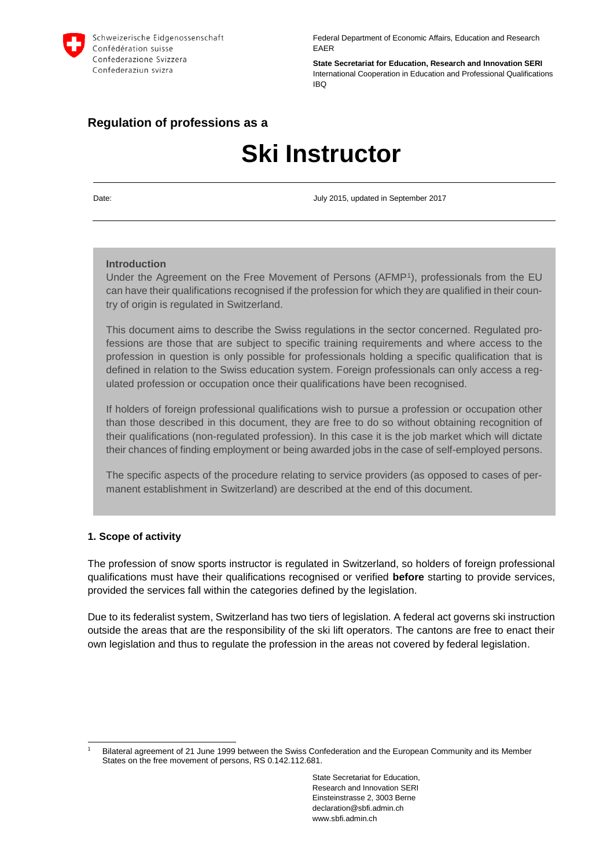

Federal Department of Economic Affairs, Education and Research EAER

**State Secretariat for Education, Research and Innovation SERI** International Cooperation in Education and Professional Qualifications IBQ

# **Regulation of professions as a**

# **Ski Instructor**

Date: July 2015, updated in September 2017

#### **Introduction**

Under the Agreement on the Free Movement of Persons (AFMP<sup>1</sup>), professionals from the EU can have their qualifications recognised if the profession for which they are qualified in their country of origin is regulated in Switzerland.

This document aims to describe the Swiss regulations in the sector concerned. Regulated professions are those that are subject to specific training requirements and where access to the profession in question is only possible for professionals holding a specific qualification that is defined in relation to the Swiss education system. Foreign professionals can only access a regulated profession or occupation once their qualifications have been recognised.

If holders of foreign professional qualifications wish to pursue a profession or occupation other than those described in this document, they are free to do so without obtaining recognition of their qualifications (non-regulated profession). In this case it is the job market which will dictate their chances of finding employment or being awarded jobs in the case of self-employed persons.

The specific aspects of the procedure relating to service providers (as opposed to cases of permanent establishment in Switzerland) are described at the end of this document.

#### **1. Scope of activity**

The profession of snow sports instructor is regulated in Switzerland, so holders of foreign professional qualifications must have their qualifications recognised or verified **before** starting to provide services, provided the services fall within the categories defined by the legislation.

Due to its federalist system, Switzerland has two tiers of legislation. A federal act governs ski instruction outside the areas that are the responsibility of the ski lift operators. The cantons are free to enact their own legislation and thus to regulate the profession in the areas not covered by federal legislation.

<sup>-</sup><sup>1</sup> Bilateral agreement of 21 June 1999 between the Swiss Confederation and the European Community and its Member States on the free movement of persons, RS 0.142.112.681.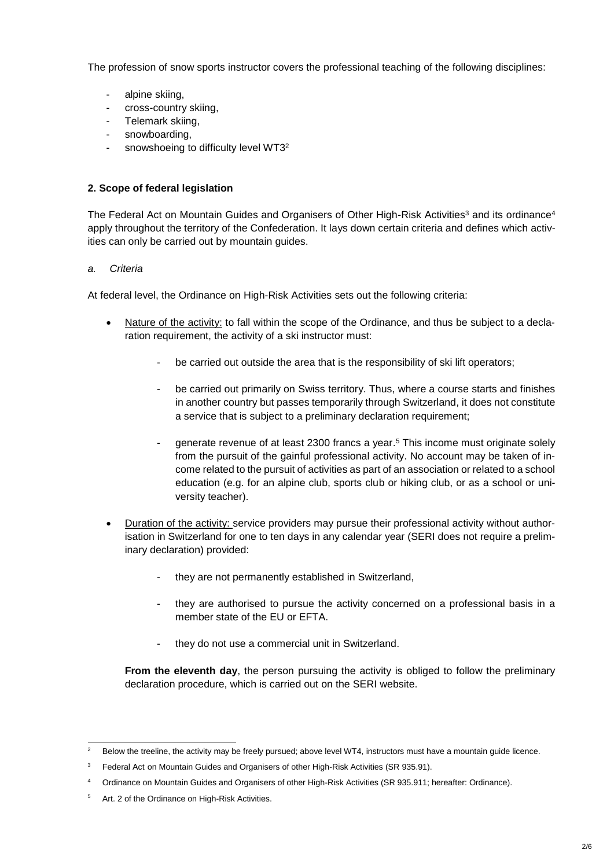The profession of snow sports instructor covers the professional teaching of the following disciplines:

- alpine skiing,
- cross-country skiing,
- Telemark skiing,
- snowboarding,
- snowshoeing to difficulty level WT3<sup>2</sup>

# **2. Scope of federal legislation**

The Federal Act on Mountain Guides and Organisers of Other High-Risk Activities<sup>3</sup> and its ordinance<sup>4</sup> apply throughout the territory of the Confederation. It lays down certain criteria and defines which activities can only be carried out by mountain guides.

## *a. Criteria*

At federal level, the Ordinance on High-Risk Activities sets out the following criteria:

- Nature of the activity: to fall within the scope of the Ordinance, and thus be subject to a declaration requirement, the activity of a ski instructor must:
	- be carried out outside the area that is the responsibility of ski lift operators;
	- be carried out primarily on Swiss territory. Thus, where a course starts and finishes in another country but passes temporarily through Switzerland, it does not constitute a service that is subject to a preliminary declaration requirement;
	- generate revenue of at least 2300 francs a year. <sup>5</sup> This income must originate solely from the pursuit of the gainful professional activity. No account may be taken of income related to the pursuit of activities as part of an association or related to a school education (e.g. for an alpine club, sports club or hiking club, or as a school or university teacher).
- Duration of the activity: service providers may pursue their professional activity without authorisation in Switzerland for one to ten days in any calendar year (SERI does not require a preliminary declaration) provided:
	- they are not permanently established in Switzerland,
	- they are authorised to pursue the activity concerned on a professional basis in a member state of the FU or FFTA.
	- they do not use a commercial unit in Switzerland.

**From the eleventh day**, the person pursuing the activity is obliged to follow the preliminary declaration procedure, which is carried out on the SERI website.

<sup>-</sup>Below the treeline, the activity may be freely pursued; above level WT4, instructors must have a mountain quide licence.

<sup>&</sup>lt;sup>3</sup> Federal Act on Mountain Guides and Organisers of other High-Risk Activities (SR 935.91).

<sup>4</sup> Ordinance on Mountain Guides and Organisers of other High-Risk Activities (SR 935.911; hereafter: Ordinance).

<sup>5</sup> Art. 2 of the Ordinance on High-Risk Activities.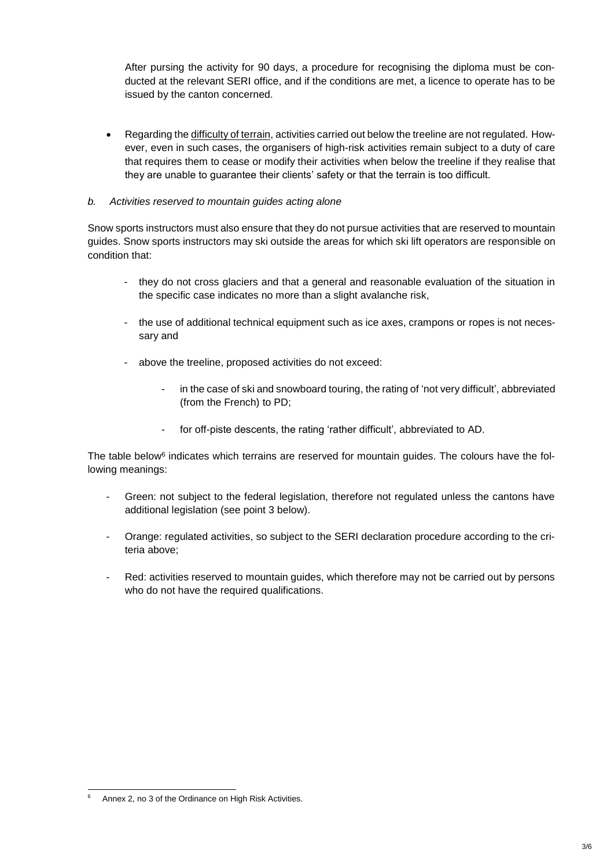After pursing the activity for 90 days, a procedure for recognising the diploma must be conducted at the relevant SERI office, and if the conditions are met, a licence to operate has to be issued by the canton concerned.

 Regarding the difficulty of terrain, activities carried out below the treeline are not regulated. However, even in such cases, the organisers of high-risk activities remain subject to a duty of care that requires them to cease or modify their activities when below the treeline if they realise that they are unable to guarantee their clients' safety or that the terrain is too difficult.

### *b. Activities reserved to mountain guides acting alone*

Snow sports instructors must also ensure that they do not pursue activities that are reserved to mountain guides. Snow sports instructors may ski outside the areas for which ski lift operators are responsible on condition that:

- they do not cross glaciers and that a general and reasonable evaluation of the situation in the specific case indicates no more than a slight avalanche risk,
- the use of additional technical equipment such as ice axes, crampons or ropes is not necessary and
- above the treeline, proposed activities do not exceed:
	- in the case of ski and snowboard touring, the rating of 'not very difficult', abbreviated (from the French) to PD;
	- for off-piste descents, the rating 'rather difficult', abbreviated to AD.

The table below<sup>6</sup> indicates which terrains are reserved for mountain guides. The colours have the following meanings:

- Green: not subject to the federal legislation, therefore not regulated unless the cantons have additional legislation (see point 3 below).
- Orange: regulated activities, so subject to the SERI declaration procedure according to the criteria above;
- Red: activities reserved to mountain guides, which therefore may not be carried out by persons who do not have the required qualifications.

<sup>1</sup> Annex 2, no 3 of the Ordinance on High Risk Activities.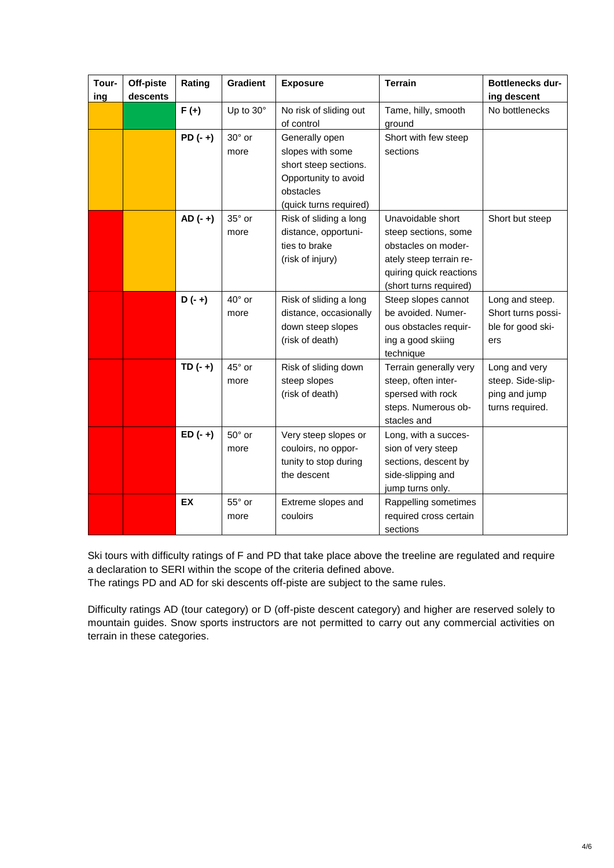| Tour-<br>ing | Off-piste<br>descents | Rating    | <b>Gradient</b>         | <b>Exposure</b>                                                                                                            | <b>Terrain</b>                                                                                                                                   | <b>Bottlenecks dur-</b><br>ing descent                                 |
|--------------|-----------------------|-----------|-------------------------|----------------------------------------------------------------------------------------------------------------------------|--------------------------------------------------------------------------------------------------------------------------------------------------|------------------------------------------------------------------------|
|              |                       | $F(+)$    | Up to 30°               | No risk of sliding out<br>of control                                                                                       | Tame, hilly, smooth<br>ground                                                                                                                    | No bottlenecks                                                         |
|              |                       | $PD(-+)$  | $30^\circ$ or<br>more   | Generally open<br>slopes with some<br>short steep sections.<br>Opportunity to avoid<br>obstacles<br>(quick turns required) | Short with few steep<br>sections                                                                                                                 |                                                                        |
|              |                       | $AD (-+)$ | 35° or<br>more          | Risk of sliding a long<br>distance, opportuni-<br>ties to brake<br>(risk of injury)                                        | Unavoidable short<br>steep sections, some<br>obstacles on moder-<br>ately steep terrain re-<br>quiring quick reactions<br>(short turns required) | Short but steep                                                        |
|              |                       | $D(-+)$   | $40^{\circ}$ or<br>more | Risk of sliding a long<br>distance, occasionally<br>down steep slopes<br>(risk of death)                                   | Steep slopes cannot<br>be avoided. Numer-<br>ous obstacles requir-<br>ing a good skiing<br>technique                                             | Long and steep.<br>Short turns possi-<br>ble for good ski-<br>ers      |
|              |                       | $TD(-+)$  | 45° or<br>more          | Risk of sliding down<br>steep slopes<br>(risk of death)                                                                    | Terrain generally very<br>steep, often inter-<br>spersed with rock<br>steps. Numerous ob-<br>stacles and                                         | Long and very<br>steep. Side-slip-<br>ping and jump<br>turns required. |
|              |                       | $ED(-+)$  | $50^\circ$ or<br>more   | Very steep slopes or<br>couloirs, no oppor-<br>tunity to stop during<br>the descent                                        | Long, with a succes-<br>sion of very steep<br>sections, descent by<br>side-slipping and<br>jump turns only.                                      |                                                                        |
|              |                       | <b>EX</b> | 55° or<br>more          | Extreme slopes and<br>couloirs                                                                                             | Rappelling sometimes<br>required cross certain<br>sections                                                                                       |                                                                        |

Ski tours with difficulty ratings of F and PD that take place above the treeline are regulated and require a declaration to SERI within the scope of the criteria defined above.

The ratings PD and AD for ski descents off-piste are subject to the same rules.

Difficulty ratings AD (tour category) or D (off-piste descent category) and higher are reserved solely to mountain guides. Snow sports instructors are not permitted to carry out any commercial activities on terrain in these categories.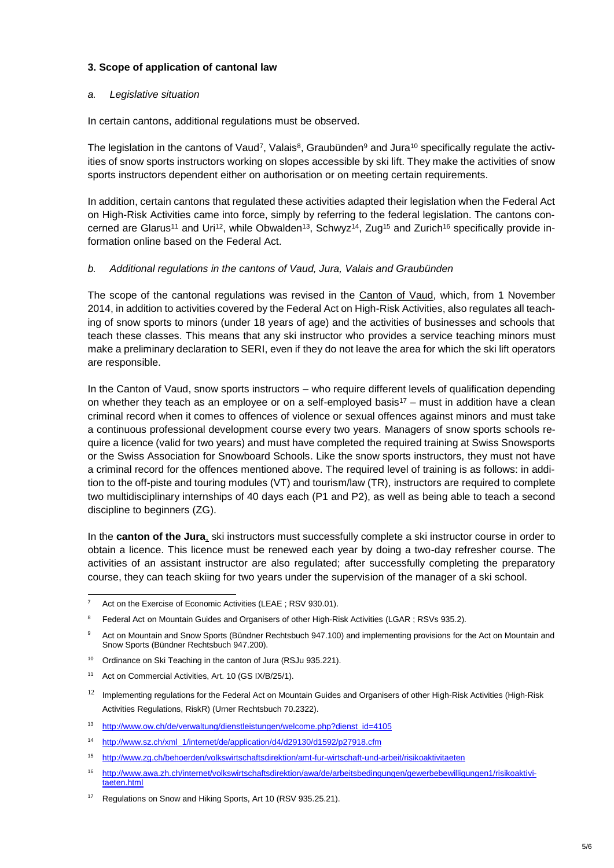### **3. Scope of application of cantonal law**

#### *a. Legislative situation*

In certain cantons, additional regulations must be observed.

The legislation in the cantons of Vaud<sup>7</sup>, Valais<sup>8</sup>, Graubünden<sup>9</sup> and Jura<sup>10</sup> specifically regulate the activities of snow sports instructors working on slopes accessible by ski lift. They make the activities of snow sports instructors dependent either on authorisation or on meeting certain requirements.

In addition, certain cantons that regulated these activities adapted their legislation when the Federal Act on High-Risk Activities came into force, simply by referring to the federal legislation. The cantons concerned are Glarus<sup>11</sup> and Uri<sup>12</sup>, while Obwalden<sup>13</sup>, Schwyz<sup>14</sup>, Zug<sup>15</sup> and Zurich<sup>16</sup> specifically provide information online based on the Federal Act.

#### *b. Additional regulations in the cantons of Vaud, Jura, Valais and Graubünden*

The scope of the cantonal regulations was revised in the Canton of Vaud, which, from 1 November 2014, in addition to activities covered by the Federal Act on High-Risk Activities, also regulates all teaching of snow sports to minors (under 18 years of age) and the activities of businesses and schools that teach these classes. This means that any ski instructor who provides a service teaching minors must make a preliminary declaration to SERI, even if they do not leave the area for which the ski lift operators are responsible.

In the Canton of Vaud, snow sports instructors – who require different levels of qualification depending on whether they teach as an employee or on a self-employed basis<sup>17</sup> – must in addition have a clean criminal record when it comes to offences of violence or sexual offences against minors and must take a continuous professional development course every two years. Managers of snow sports schools require a licence (valid for two years) and must have completed the required training at Swiss Snowsports or the Swiss Association for Snowboard Schools. Like the snow sports instructors, they must not have a criminal record for the offences mentioned above. The required level of training is as follows: in addition to the off-piste and touring modules (VT) and tourism/law (TR), instructors are required to complete two multidisciplinary internships of 40 days each (P1 and P2), as well as being able to teach a second discipline to beginners (ZG).

In the **canton of the Jura**, ski instructors must successfully complete a ski instructor course in order to obtain a licence. This licence must be renewed each year by doing a two-day refresher course. The activities of an assistant instructor are also regulated; after successfully completing the preparatory course, they can teach skiing for two years under the supervision of the manager of a ski school.

 $\overline{7}$ Act on the Exercise of Economic Activities (LEAE ; RSV 930.01).

<sup>&</sup>lt;sup>8</sup> Federal Act on Mountain Guides and Organisers of other High-Risk Activities (LGAR; RSVs 935.2).

Act on Mountain and Snow Sports (Bündner Rechtsbuch 947.100) and implementing provisions for the Act on Mountain and Snow Sports (Bündner Rechtsbuch 947.200).

<sup>&</sup>lt;sup>10</sup> Ordinance on Ski Teaching in the canton of Jura (RSJu 935.221).

<sup>11</sup> Act on Commercial Activities, Art. 10 (GS IX/B/25/1).

 $12$  Implementing regulations for the Federal Act [on Mountain Guides and Organisers of other High-Risk Activities](http://ur.lexspider.com/html/70-2322.htm) (High-Risk [Activities Regulations, RiskR\)](http://ur.lexspider.com/html/70-2322.htm) (Urner Rechtsbuch 70.2322).

<sup>13</sup> [http://www.ow.ch/de/verwaltung/dienstleistungen/welcome.php?dienst\\_id=4105](http://www.ow.ch/de/verwaltung/dienstleistungen/welcome.php?dienst_id=4105)

<sup>14</sup> [http://www.sz.ch/xml\\_1/internet/de/application/d4/d29130/d1592/p27918.cfm](http://www.sz.ch/xml_1/internet/de/application/d4/d29130/d1592/p27918.cfm)

<sup>15</sup> <http://www.zg.ch/behoerden/volkswirtschaftsdirektion/amt-fur-wirtschaft-und-arbeit/risikoaktivitaeten>

<sup>16</sup> [http://www.awa.zh.ch/internet/volkswirtschaftsdirektion/awa/de/arbeitsbedingungen/gewerbebewilligungen1/risikoaktivi](http://www.awa.zh.ch/internet/volkswirtschaftsdirektion/awa/de/arbeitsbedingungen/gewerbebewilligungen1/risikoaktivitaeten.html)[taeten.html](http://www.awa.zh.ch/internet/volkswirtschaftsdirektion/awa/de/arbeitsbedingungen/gewerbebewilligungen1/risikoaktivitaeten.html)

<sup>&</sup>lt;sup>17</sup> Regulations on Snow and Hiking Sports, Art 10 (RSV 935.25.21).